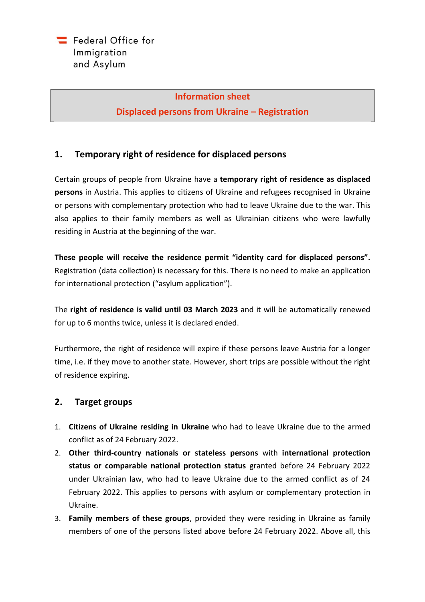#### **Information sheet**

**Displaced persons from Ukraine – Registration**

## **1. Temporary right of residence for displaced persons**

Certain groups of people from Ukraine have a **temporary right of residence as displaced persons** in Austria. This applies to citizens of Ukraine and refugees recognised in Ukraine or persons with complementary protection who had to leave Ukraine due to the war. This also applies to their family members as well as Ukrainian citizens who were lawfully residing in Austria at the beginning of the war.

**These people will receive the residence permit "identity card for displaced persons".** Registration (data collection) is necessary for this. There is no need to make an application for international protection ("asylum application").

The **right of residence is valid until 03 March 2023** and it will be automatically renewed for up to 6 months twice, unless it is declared ended.

Furthermore, the right of residence will expire if these persons leave Austria for a longer time, i.e. if they move to another state. However, short trips are possible without the right of residence expiring.

## **2. Target groups**

- 1. **Citizens of Ukraine residing in Ukraine** who had to leave Ukraine due to the armed conflict as of 24 February 2022.
- 2. **Other third-country nationals or stateless persons** with **international protection status or comparable national protection status** granted before 24 February 2022 under Ukrainian law, who had to leave Ukraine due to the armed conflict as of 24 February 2022. This applies to persons with asylum or complementary protection in Ukraine.
- 3. **Family members of these groups**, provided they were residing in Ukraine as family members of one of the persons listed above before 24 February 2022. Above all, this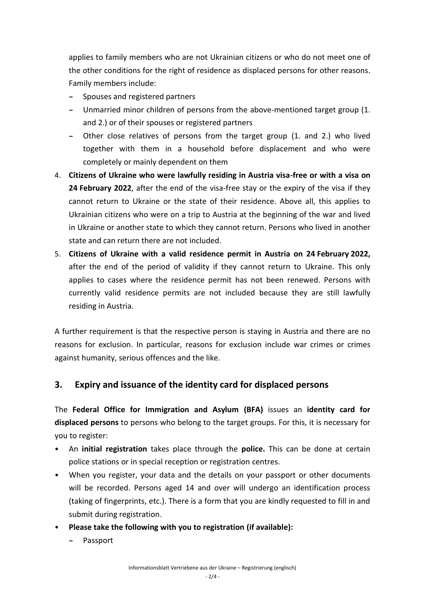applies to family members who are not Ukrainian citizens or who do not meet one of the other conditions for the right of residence as displaced persons for other reasons. Family members include:

- **−** Spouses and registered partners
- **−** Unmarried minor children of persons from the above-mentioned target group (1. and 2.) or of their spouses or registered partners
- **−** Other close relatives of persons from the target group (1. and 2.) who lived together with them in a household before displacement and who were completely or mainly dependent on them
- 4. **Citizens of Ukraine who were lawfully residing in Austria visa-free or with a visa on 24 February 2022**, after the end of the visa-free stay or the expiry of the visa if they cannot return to Ukraine or the state of their residence. Above all, this applies to Ukrainian citizens who were on a trip to Austria at the beginning of the war and lived in Ukraine or another state to which they cannot return. Persons who lived in another state and can return there are not included.
- 5. **Citizens of Ukraine with a valid residence permit in Austria on 24 February 2022,** after the end of the period of validity if they cannot return to Ukraine. This only applies to cases where the residence permit has not been renewed. Persons with currently valid residence permits are not included because they are still lawfully residing in Austria.

A further requirement is that the respective person is staying in Austria and there are no reasons for exclusion. In particular, reasons for exclusion include war crimes or crimes against humanity, serious offences and the like.

## **3. Expiry and issuance of the identity card for displaced persons**

The **Federal Office for Immigration and Asylum (BFA)** issues an **identity card for displaced persons** to persons who belong to the target groups. For this, it is necessary for you to register:

- An **initial registration** takes place through the **police.** This can be done at certain police stations or in special reception or registration centres.
- When you register, your data and the details on your passport or other documents will be recorded. Persons aged 14 and over will undergo an identification process (taking of fingerprints, etc.). There is a form that you are kindly requested to fill in and submit during registration.
- **Please take the following with you to registration (if available):**
	- **−** Passport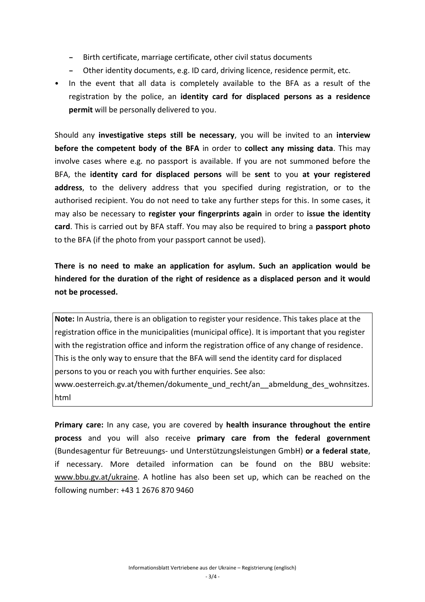- **−** Birth certificate, marriage certificate, other civil status documents
- **−** Other identity documents, e.g. ID card, driving licence, residence permit, etc.
- In the event that all data is completely available to the BFA as a result of the registration by the police, an **identity card for displaced persons as a residence permit** will be personally delivered to you.

Should any **investigative steps still be necessary**, you will be invited to an **interview before the competent body of the BFA** in order to **collect any missing data**. This may involve cases where e.g. no passport is available. If you are not summoned before the BFA, the **identity card for displaced persons** will be **sent** to you **at your registered address**, to the delivery address that you specified during registration, or to the authorised recipient. You do not need to take any further steps for this. In some cases, it may also be necessary to **register your fingerprints again** in order to **issue the identity card**. This is carried out by BFA staff. You may also be required to bring a **passport photo** to the BFA (if the photo from your passport cannot be used).

**There is no need to make an application for asylum. Such an application would be hindered for the duration of the right of residence as a displaced person and it would not be processed.**

**Note:** In Austria, there is an obligation to register your residence. This takes place at the registration office in the municipalities (municipal office). It is important that you register with the registration office and inform the registration office of any change of residence. This is the only way to ensure that the BFA will send the identity card for displaced persons to you or reach you with further enquiries. See also:

www.oesterreich.gv.at/themen/dokumente\_und\_recht/an\_\_abmeldung\_des\_wohnsitzes. html

**Primary care:** In any case, you are covered by **health insurance throughout the entire process** and you will also receive **primary care from the federal government** (Bundesagentur für Betreuungs- und Unterstützungsleistungen GmbH) **or a federal state**, if necessary. More detailed information can be found on the BBU website: [www.bbu.gv.at/ukraine.](https://www.bbu.gv.at/ukraine) A hotline has also been set up, which can be reached on the following number: +43 1 2676 870 9460